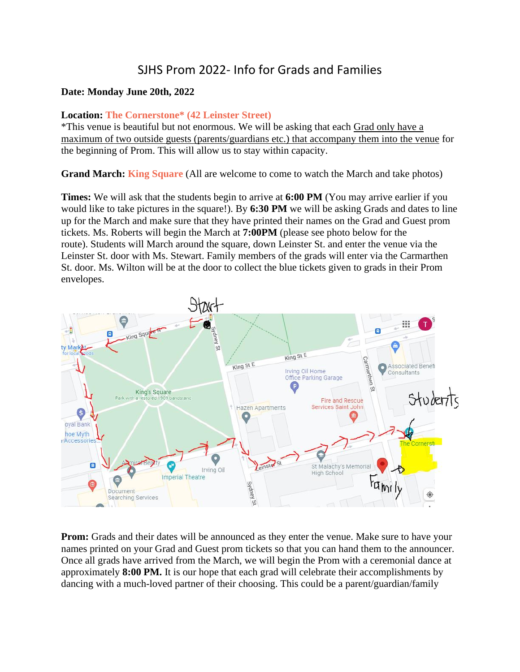## SJHS Prom 2022- Info for Grads and Families

## **Date: Monday June 20th, 2022**

## **Location: The Cornerstone\* (42 Leinster Street)**

\*This venue is beautiful but not enormous. We will be asking that each Grad only have a maximum of two outside guests (parents/guardians etc.) that accompany them into the venue for the beginning of Prom. This will allow us to stay within capacity.

**Grand March: King Square** (All are welcome to come to watch the March and take photos)

**Times:** We will ask that the students begin to arrive at **6:00 PM** (You may arrive earlier if you would like to take pictures in the square!). By **6:30 PM** we will be asking Grads and dates to line up for the March and make sure that they have printed their names on the Grad and Guest prom tickets. Ms. Roberts will begin the March at **7:00PM** (please see photo below for the route). Students will March around the square, down Leinster St, and enter the venue via the Leinster St. door with Ms. Stewart. Family members of the grads will enter via the Carmarthen St. door. Ms. Wilton will be at the door to collect the blue tickets given to grads in their Prom envelopes.



**Prom:** Grads and their dates will be announced as they enter the venue. Make sure to have your names printed on your Grad and Guest prom tickets so that you can hand them to the announcer. Once all grads have arrived from the March, we will begin the Prom with a ceremonial dance at approximately **8:00 PM.** It is our hope that each grad will celebrate their accomplishments by dancing with a much-loved partner of their choosing. This could be a parent/guardian/family